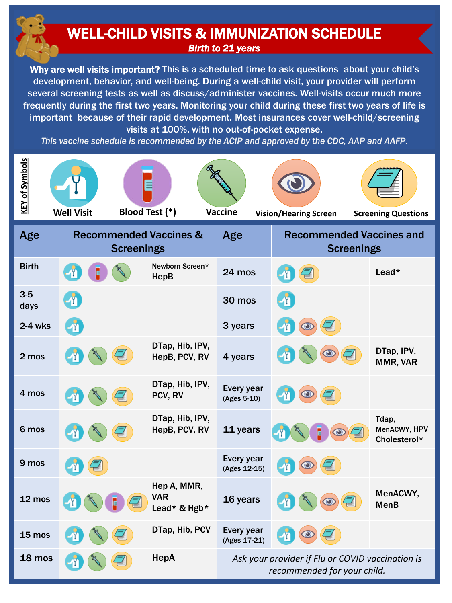## WELL-CHILD VISITS & IMMUNIZATION SCHEDULE *Birth to 21 years*

Why are well visits important? This is a scheduled time to ask questions about your child's development, behavior, and well-being. During a well-child visit, your provider will perform several screening tests as well as discuss/administer vaccines. Well-visits occur much more frequently during the first two years. Monitoring your child during these first two years of life is important because of their rapid development. Most insurances cover well-child/screening visits at 100%, with no out-of-pocket expense.

*This vaccine schedule is recommended by the ACIP and approved by the CDC, AAP and AAFP.*